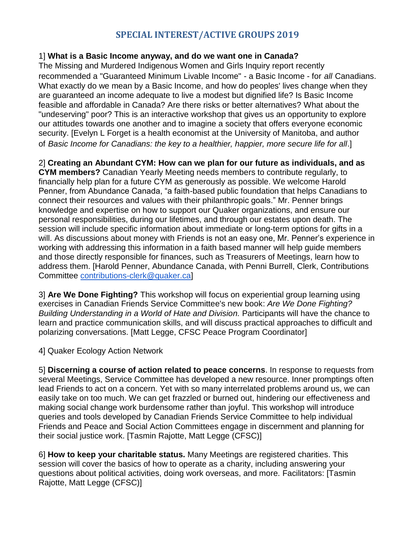# **SPECIAL INTEREST/ACTIVE GROUPS 2019**

### 1] **What is a Basic Income anyway, and do we want one in Canada?**

The Missing and Murdered Indigenous Women and Girls Inquiry report recently recommended a "Guaranteed Minimum Livable Income" - a Basic Income - for *all* Canadians. What exactly do we mean by a Basic Income, and how do peoples' lives change when they are guaranteed an income adequate to live a modest but dignified life? Is Basic Income feasible and affordable in Canada? Are there risks or better alternatives? What about the "undeserving" poor? This is an interactive workshop that gives us an opportunity to explore our attitudes towards one another and to imagine a society that offers everyone economic security. [Evelyn L Forget is a health economist at the University of Manitoba, and author of *Basic Income for Canadians: the key to a healthier, happier, more secure life for all*.]

### 2] **Creating an Abundant CYM: How can we plan for our future as individuals, and as**

**CYM members?** Canadian Yearly Meeting needs members to contribute regularly, to financially help plan for a future CYM as generously as possible. We welcome Harold Penner, from Abundance Canada, "a faith-based public foundation that helps Canadians to connect their resources and values with their philanthropic goals." Mr. Penner brings knowledge and expertise on how to support our Quaker organizations, and ensure our personal responsibilities, during our lifetimes, and through our estates upon death. The session will include specific information about immediate or long-term options for gifts in a will. As discussions about money with Friends is not an easy one, Mr. Penner's experience in working with addressing this information in a faith based manner will help guide members and those directly responsible for finances, such as Treasurers of Meetings, learn how to address them. [Harold Penner, Abundance Canada, with Penni Burrell, Clerk, Contributions Committee [contributions-clerk@quaker.ca\]](mailto:contributions-clerk@quaker.ca)

3] **Are We Done Fighting?** This workshop will focus on experiential group learning using exercises in Canadian Friends Service Committee's new book: *Are We Done Fighting? Building Understanding in a World of Hate and Division.* Participants will have the chance to learn and practice communication skills, and will discuss practical approaches to difficult and polarizing conversations. [Matt Legge, CFSC Peace Program Coordinator]

#### 4] Quaker Ecology Action Network

5] **Discerning a course of action related to peace concerns**. In response to requests from several Meetings, Service Committee has developed a new resource. Inner promptings often lead Friends to act on a concern. Yet with so many interrelated problems around us, we can easily take on too much. We can get frazzled or burned out, hindering our effectiveness and making social change work burdensome rather than joyful. This workshop will introduce queries and tools developed by Canadian Friends Service Committee to help individual Friends and Peace and Social Action Committees engage in discernment and planning for their social justice work. [Tasmin Rajotte, Matt Legge (CFSC)]

6] **How to keep your charitable status.** Many Meetings are registered charities. This session will cover the basics of how to operate as a charity, including answering your questions about political activities, doing work overseas, and more. Facilitators: [Tasmin Rajotte, Matt Legge (CFSC)]